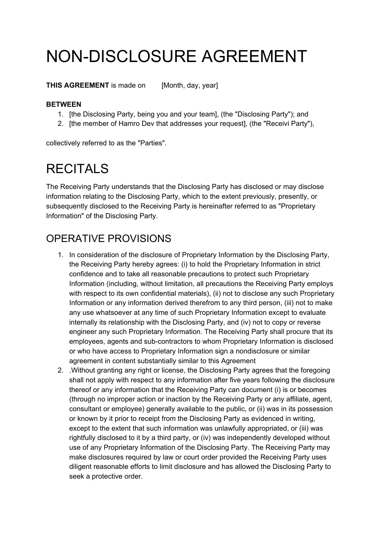## NON-DISCLOSURE AGREEMENT

**THIS AGREEMENT** is made on [Month, day, year]

## **BETWEEN**

- 1. [the Disclosing Party, being you and your team], (the "Disclosing Party"); and
- 2. [the member of Hamro Dev that addresses your request], (the "Receivi Party"),

collectively referred to as the "Parties".

## **RECITALS**

The Receiving Party understands that the Disclosing Party has disclosed or may disclose information relating to the Disclosing Party, which to the extent previously, presently, or subsequently disclosed to the Receiving Party is hereinafter referred to as "Proprietary Information" of the Disclosing Party.

## OPERATIVE PROVISIONS

- 1. In consideration of the disclosure of Proprietary Information by the Disclosing Party, the Receiving Party hereby agrees: (i) to hold the Proprietary Information in strict confidence and to take all reasonable precautions to protect such Proprietary Information (including, without limitation, all precautions the Receiving Party employs with respect to its own confidential materials), (ii) not to disclose any such Proprietary Information or any information derived therefrom to any third person, (iii) not to make any use whatsoever at any time of such Proprietary Information except to evaluate internally its relationship with the Disclosing Party, and (iv) not to copy or reverse engineer any such Proprietary Information. The Receiving Party shall procure that its employees, agents and sub-contractors to whom Proprietary Information is disclosed or who have access to Proprietary Information sign a nondisclosure or similar agreement in content substantially similar to this Agreement
- 2. .Without granting any right or license, the Disclosing Party agrees that the foregoing shall not apply with respect to any information after five years following the disclosure thereof or any information that the Receiving Party can document (i) is or becomes (through no improper action or inaction by the Receiving Party or any affiliate, agent, consultant or employee) generally available to the public, or (ii) was in its possession or known by it prior to receipt from the Disclosing Party as evidenced in writing, except to the extent that such information was unlawfully appropriated, or (iii) was rightfully disclosed to it by a third party, or (iv) was independently developed without use of any Proprietary Information of the Disclosing Party. The Receiving Party may make disclosures required by law or court order provided the Receiving Party uses diligent reasonable efforts to limit disclosure and has allowed the Disclosing Party to seek a protective order.